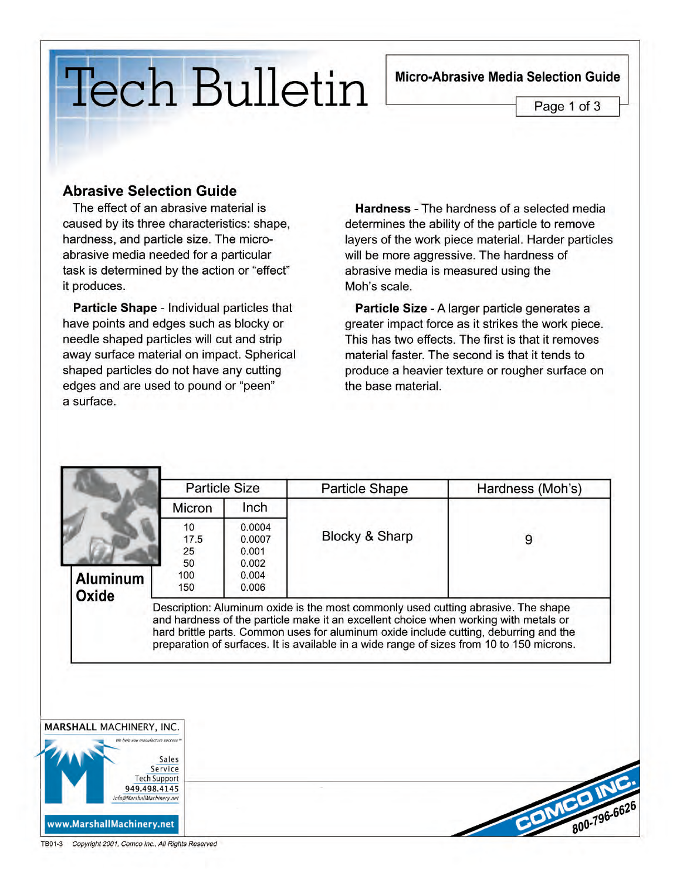## Micro-Abrasive Media Selection Guide

Page 1 of 3

## **Tech Bulletin**

## **Abrasive Selection Guide**

The effect of an abrasive material is caused by its three characteristics: shape, hardness, and particle size. The microabrasive media needed for a particular task is determined by the action or "effect" it produces.

Particle Shape - Individual particles that have points and edges such as blocky or needle shaped particles will cut and strip away surface material on impact. Spherical shaped particles do not have any cutting edges and are used to pound or "peen" a surface.

**Hardness** - The hardness of a selected media determines the ability of the particle to remove layers of the work piece material. Harder particles will be more aggressive. The hardness of abrasive media is measured using the Moh's scale.

Particle Size - A larger particle generates a greater impact force as it strikes the work piece. This has two effects. The first is that it removes material faster. The second is that it tends to produce a heavier texture or rougher surface on the base material.

|                                                         | <b>Particle Size</b>                 |                                                      | <b>Particle Shape</b>                                                                                                                                                                                                                                                                                                                                           | Hardness (Moh's) |
|---------------------------------------------------------|--------------------------------------|------------------------------------------------------|-----------------------------------------------------------------------------------------------------------------------------------------------------------------------------------------------------------------------------------------------------------------------------------------------------------------------------------------------------------------|------------------|
| Micron                                                  |                                      | Inch                                                 |                                                                                                                                                                                                                                                                                                                                                                 |                  |
| <b>Aluminum</b><br>Oxide                                | 10<br>17.5<br>25<br>50<br>100<br>150 | 0.0004<br>0.0007<br>0.001<br>0.002<br>0.004<br>0.006 | Blocky & Sharp                                                                                                                                                                                                                                                                                                                                                  | 9                |
|                                                         |                                      |                                                      | Description: Aluminum oxide is the most commonly used cutting abrasive. The shape<br>and hardness of the particle make it an excellent choice when working with metals or<br>hard brittle parts. Common uses for aluminum oxide include cutting, deburring and the<br>preparation of surfaces. It is available in a wide range of sizes from 10 to 150 microns. |                  |
| MARSHALL MACHINERY, INC.<br>elo vou manufacture success | Sales<br>Service                     |                                                      |                                                                                                                                                                                                                                                                                                                                                                 |                  |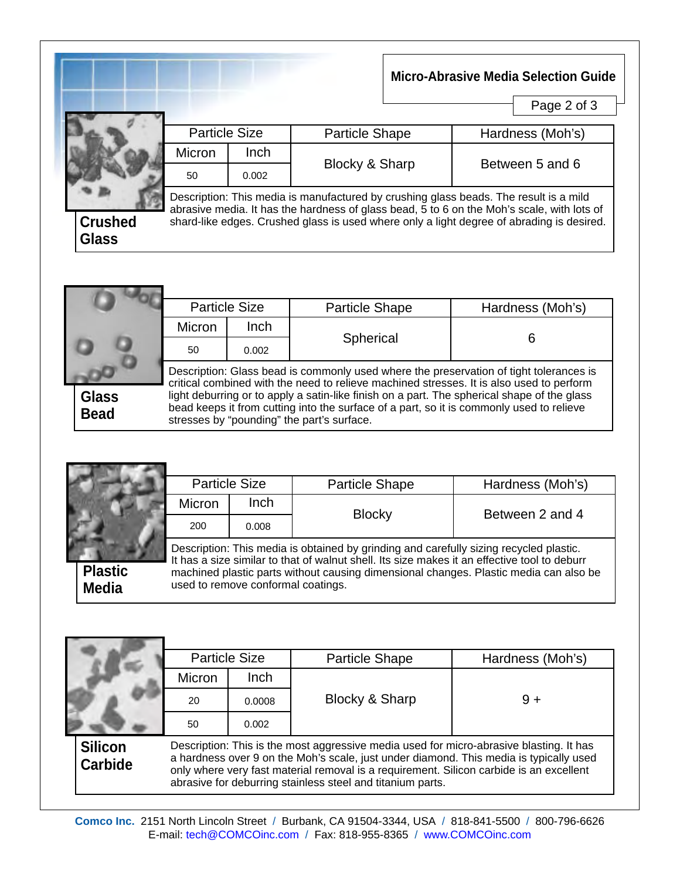|                         |                      |             |                                                                                       | <b>Micro-Abrasive Media Selection Guide</b><br>Page 2 of 3                                                                                                                              |
|-------------------------|----------------------|-------------|---------------------------------------------------------------------------------------|-----------------------------------------------------------------------------------------------------------------------------------------------------------------------------------------|
|                         | <b>Particle Size</b> |             | <b>Particle Shape</b>                                                                 | Hardness (Moh's)                                                                                                                                                                        |
| <b>Crushed</b><br>Glass | Micron               | <b>Inch</b> |                                                                                       | Between 5 and 6                                                                                                                                                                         |
|                         | 50                   | 0.002       | Blocky & Sharp                                                                        |                                                                                                                                                                                         |
|                         |                      |             | Description: This media is manufactured by crushing glass beads. The result is a mild | abrasive media. It has the hardness of glass bead, 5 to 6 on the Moh's scale, with lots of<br>shard-like edges. Crushed glass is used where only a light degree of abrading is desired. |

|                             |        | <b>Particle Size</b>                                                                                                                                                                                                                                                                                                              | <b>Particle Shape</b> | Hardness (Moh's) |  |  |  |
|-----------------------------|--------|-----------------------------------------------------------------------------------------------------------------------------------------------------------------------------------------------------------------------------------------------------------------------------------------------------------------------------------|-----------------------|------------------|--|--|--|
|                             | Micron | Inch                                                                                                                                                                                                                                                                                                                              |                       |                  |  |  |  |
|                             | 50     | 0.002                                                                                                                                                                                                                                                                                                                             | Spherical             |                  |  |  |  |
|                             |        | Description: Glass bead is commonly used where the preservation of tight tolerances is                                                                                                                                                                                                                                            |                       |                  |  |  |  |
| <b>Glass</b><br><b>Bead</b> |        | critical combined with the need to relieve machined stresses. It is also used to perform<br>light deburring or to apply a satin-like finish on a part. The spherical shape of the glass<br>bead keeps it from cutting into the surface of a part, so it is commonly used to relieve<br>stresses by "pounding" the part's surface. |                       |                  |  |  |  |

|                                | <b>Particle Size</b> |                                    | <b>Particle Shape</b>                                                                                                                                                                                                                                                           | Hardness (Moh's) |
|--------------------------------|----------------------|------------------------------------|---------------------------------------------------------------------------------------------------------------------------------------------------------------------------------------------------------------------------------------------------------------------------------|------------------|
|                                | <b>Micron</b>        | Inch                               |                                                                                                                                                                                                                                                                                 | Between 2 and 4  |
| <b>Plastic</b><br><b>Media</b> | 200                  | 0.008                              | <b>Blocky</b>                                                                                                                                                                                                                                                                   |                  |
|                                |                      | used to remove conformal coatings. | Description: This media is obtained by grinding and carefully sizing recycled plastic.<br>It has a size similar to that of walnut shell. Its size makes it an effective tool to deburr<br>machined plastic parts without causing dimensional changes. Plastic media can also be |                  |

|                                  | <b>Particle Size</b>                                                                                                                                                                                                                                                                                                                       |        | <b>Particle Shape</b> | Hardness (Moh's) |  |
|----------------------------------|--------------------------------------------------------------------------------------------------------------------------------------------------------------------------------------------------------------------------------------------------------------------------------------------------------------------------------------------|--------|-----------------------|------------------|--|
|                                  | Micron                                                                                                                                                                                                                                                                                                                                     | Inch   | Blocky & Sharp        | $9 +$            |  |
|                                  | 20                                                                                                                                                                                                                                                                                                                                         | 0.0008 |                       |                  |  |
|                                  | 50                                                                                                                                                                                                                                                                                                                                         | 0.002  |                       |                  |  |
| <b>Silicon</b><br><b>Carbide</b> | Description: This is the most aggressive media used for micro-abrasive blasting. It has<br>a hardness over 9 on the Moh's scale, just under diamond. This media is typically used<br>only where very fast material removal is a requirement. Silicon carbide is an excellent<br>abrasive for deburring stainless steel and titanium parts. |        |                       |                  |  |